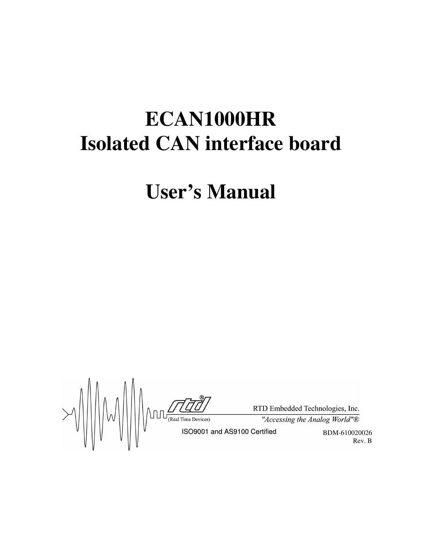# **ECAN1000HR Isolated CAN interface board**

# **User's Manual**

 $\text{FID Embedded Technology, Inc.}$ <br>  $\text{FID Embedded Technology, Inc.}$ <br>  $\text{GID Embedded Technology }$ <br>  $\text{GID Embedded Technology }$ <br>  $\text{GID}{\text{GIDModel} \atop \text{GID} \atop \text{GID} \atop \text{GID} \atop \text{GID} \atop \text{GID} \atop \text{GID} \atop \text{GID} \atop \text{GID} \atop \text{GID} \atop \text{GID} \atop \text{GID} \atop \text{GID} \atop \text{GID} \atop \text{GID} \atop \text{GID} \atop \text{GID} \atop \text$ BDM-610020026 Rev. B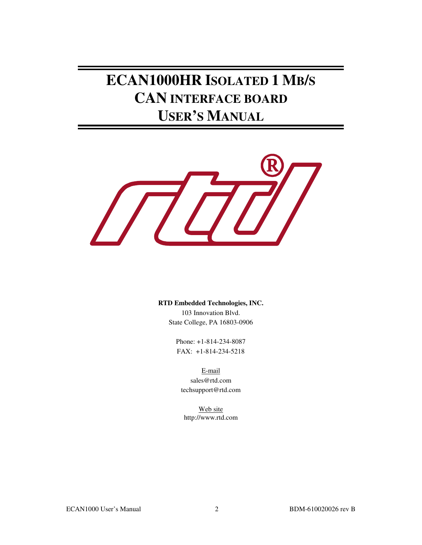**ECAN1000HR ISOLATED 1 MB/S CAN INTERFACE BOARD USER'S MANUAL**



#### **RTD Embedded Technologies, INC.**

103 Innovation Blvd. State College, PA 16803-0906

Phone: +1-814-234-8087 FAX: +1-814-234-5218

E-mail sales@rtd.com techsupport@rtd.com

Web site http://www.rtd.com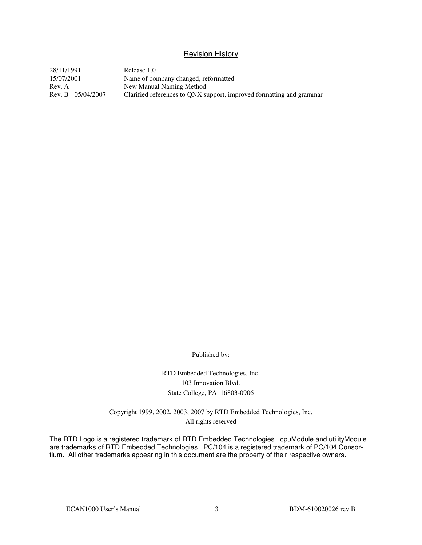#### Revision History

28/11/1991 Release 1.0 15/07/2001 Name of company changed, reformatted Rev. A<br>Rev. B 05/04/2007 Clarified references to QNX subsets Clarified references to QNX support, improved formatting and grammar

Published by:

RTD Embedded Technologies, Inc. 103 Innovation Blvd. State College, PA 16803-0906

Copyright 1999, 2002, 2003, 2007 by RTD Embedded Technologies, Inc. All rights reserved

The RTD Logo is a registered trademark of RTD Embedded Technologies. cpuModule and utilityModule are trademarks of RTD Embedded Technologies. PC/104 is a registered trademark of PC/104 Consortium. All other trademarks appearing in this document are the property of their respective owners.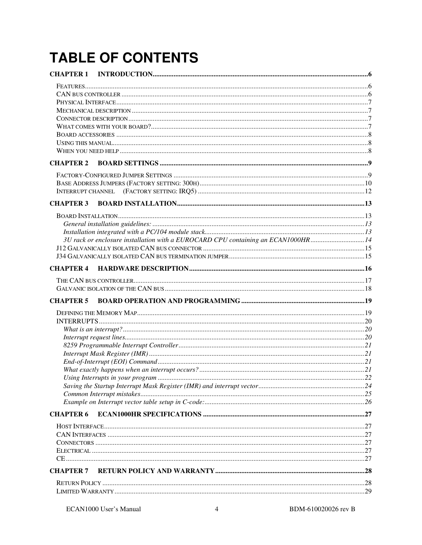# **TABLE OF CONTENTS**

| <b>CHAPTER 2</b> |                                                                                  |  |
|------------------|----------------------------------------------------------------------------------|--|
|                  |                                                                                  |  |
|                  |                                                                                  |  |
|                  |                                                                                  |  |
| <b>CHAPTER 3</b> |                                                                                  |  |
|                  |                                                                                  |  |
|                  |                                                                                  |  |
|                  |                                                                                  |  |
|                  | 3U rack or enclosure installation with a EUROCARD CPU containing an ECAN1000HR14 |  |
|                  |                                                                                  |  |
|                  |                                                                                  |  |
| <b>CHAPTER 4</b> |                                                                                  |  |
|                  |                                                                                  |  |
|                  |                                                                                  |  |
| <b>CHAPTER 5</b> |                                                                                  |  |
|                  |                                                                                  |  |
|                  |                                                                                  |  |
|                  |                                                                                  |  |
|                  |                                                                                  |  |
|                  |                                                                                  |  |
|                  |                                                                                  |  |
|                  |                                                                                  |  |
|                  |                                                                                  |  |
|                  |                                                                                  |  |
|                  |                                                                                  |  |
|                  |                                                                                  |  |
| <b>CHAPTER 6</b> |                                                                                  |  |
|                  |                                                                                  |  |
|                  |                                                                                  |  |
|                  |                                                                                  |  |
|                  |                                                                                  |  |
|                  |                                                                                  |  |
| <b>CHAPTER 7</b> |                                                                                  |  |
|                  |                                                                                  |  |
|                  |                                                                                  |  |
|                  |                                                                                  |  |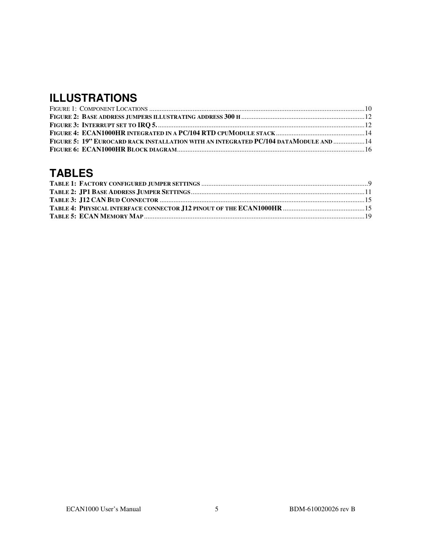## **ILLUSTRATIONS**

| FIGURE 5: 19" EUROCARD RACK INSTALLATION WITH AN INTEGRATED PC/104 DATAMODULE AND  14 |  |
|---------------------------------------------------------------------------------------|--|
|                                                                                       |  |

## **TABLES**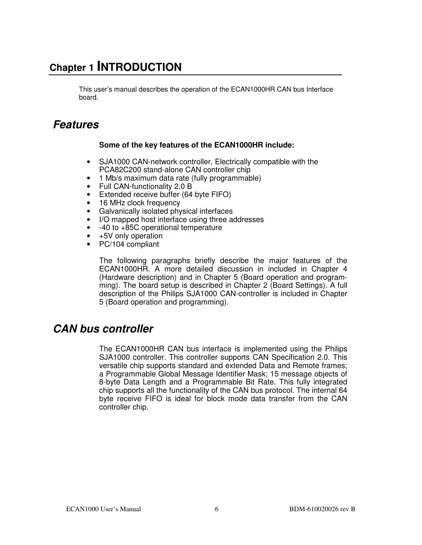## **Chapter 1 INTRODUCTION**

This user's manual describes the operation of the ECAN1000HR CAN bus Interface board.

## **Features**

#### **Some of the key features of the ECAN1000HR include:**

- SJA1000 CAN-network controller, Electrically compatible with the PCA82C200 stand-alone CAN controller chip
- 1 Mb/s maximum data rate (fully programmable)
- Full CAN-functionality 2.0 B
- Extended receive buffer (64 byte FIFO)
- 16 MHz clock frequency
- Galvanically isolated physical interfaces
- I/O mapped host interface using three addresses
- -40 to +85C operational temperature
- +5V only operation
- PC/104 compliant

The following paragraphs briefly describe the major features of the ECAN1000HR. A more detailed discussion in included in Chapter 4 (Hardware description) and in Chapter 5 (Board operation and programming). The board setup is described in Chapter 2 (Board Settings). A full description of the Philips SJA1000 CAN-controller is included in Chapter 5 (Board operation and programming).

### **CAN bus controller**

The ECAN1000HR CAN bus interface is implemented using the Philips SJA1000 controller. This controller supports CAN Specification 2.0. This versatile chip supports standard and extended Data and Remote frames; a Programmable Global Message Identifier Mask; 15 message objects of 8-byte Data Length and a Programmable Bit Rate. This fully integrated chip supports all the functionality of the CAN bus protocol. The internal 64 byte receive FIFO is ideal for block mode data transfer from the CAN controller chip.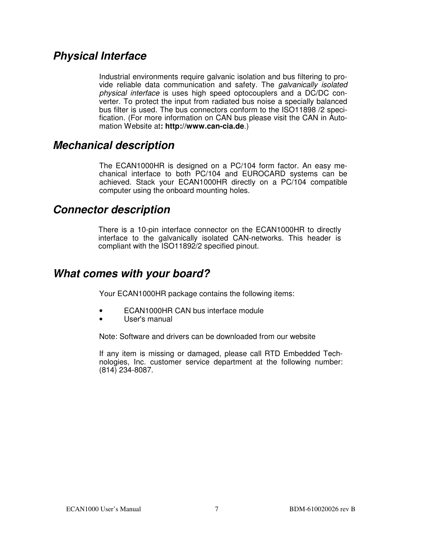### **Physical Interface**

Industrial environments require galvanic isolation and bus filtering to provide reliable data communication and safety. The galvanically isolated physical interface is uses high speed optocouplers and a DC/DC converter. To protect the input from radiated bus noise a specially balanced bus filter is used. The bus connectors conform to the ISO11898 /2 specification. (For more information on CAN bus please visit the CAN in Automation Website at**: http://www.can-cia.de**.)

### **Mechanical description**

The ECAN1000HR is designed on a PC/104 form factor. An easy mechanical interface to both PC/104 and EUROCARD systems can be achieved. Stack your ECAN1000HR directly on a PC/104 compatible computer using the onboard mounting holes.

### **Connector description**

There is a 10-pin interface connector on the ECAN1000HR to directly interface to the galvanically isolated CAN-networks. This header is compliant with the ISO11892/2 specified pinout.

### **What comes with your board?**

Your ECAN1000HR package contains the following items:

- ECAN1000HR CAN bus interface module
- User's manual

Note: Software and drivers can be downloaded from our website

If any item is missing or damaged, please call RTD Embedded Technologies, Inc. customer service department at the following number: (814) 234-8087.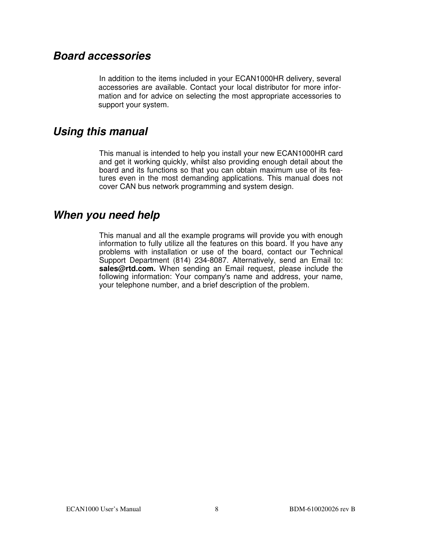### **Board accessories**

 In addition to the items included in your ECAN1000HR delivery, several accessories are available. Contact your local distributor for more information and for advice on selecting the most appropriate accessories to support your system.

### **Using this manual**

This manual is intended to help you install your new ECAN1000HR card and get it working quickly, whilst also providing enough detail about the board and its functions so that you can obtain maximum use of its features even in the most demanding applications. This manual does not cover CAN bus network programming and system design.

### **When you need help**

This manual and all the example programs will provide you with enough information to fully utilize all the features on this board. If you have any problems with installation or use of the board, contact our Technical Support Department (814) 234-8087. Alternatively, send an Email to: **sales@rtd.com.** When sending an Email request, please include the following information: Your company's name and address, your name, your telephone number, and a brief description of the problem.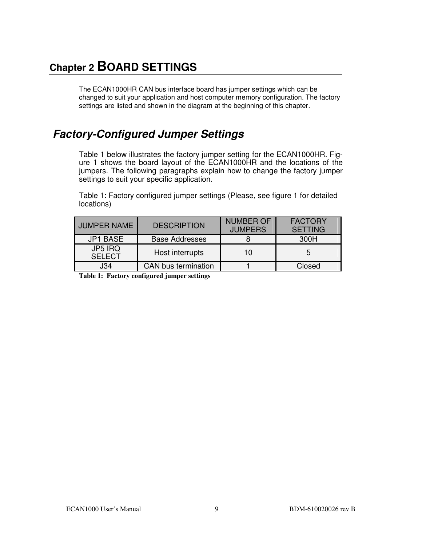## **Chapter 2 BOARD SETTINGS**

The ECAN1000HR CAN bus interface board has jumper settings which can be changed to suit your application and host computer memory configuration. The factory settings are listed and shown in the diagram at the beginning of this chapter.

## **Factory-Configured Jumper Settings**

Table 1 below illustrates the factory jumper setting for the ECAN1000HR. Figure 1 shows the board layout of the ECAN1000HR and the locations of the jumpers. The following paragraphs explain how to change the factory jumper settings to suit your specific application.

Table 1: Factory configured jumper settings (Please, see figure 1 for detailed locations)

| <b>JUMPER NAME</b>       | <b>DESCRIPTION</b>         | <b>NUMBER OF</b><br><b>JUMPERS</b> | <b>FACTORY</b><br><b>SETTING</b> |
|--------------------------|----------------------------|------------------------------------|----------------------------------|
| <b>JP1 BASE</b>          | <b>Base Addresses</b>      |                                    | 300H                             |
| JP5 IRQ<br><b>SELECT</b> | Host interrupts            | 10                                 | 5                                |
| J34                      | <b>CAN</b> bus termination |                                    | Closed                           |

**Table 1: Factory configured jumper settings**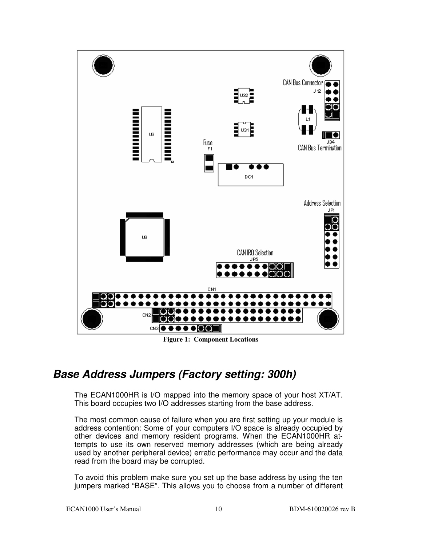

**Figure 1: Component Locations** 

## **Base Address Jumpers (Factory setting: 300h)**

The ECAN1000HR is I/O mapped into the memory space of your host XT/AT. This board occupies two I/O addresses starting from the base address.

The most common cause of failure when you are first setting up your module is address contention: Some of your computers I/O space is already occupied by other devices and memory resident programs. When the ECAN1000HR attempts to use its own reserved memory addresses (which are being already used by another peripheral device) erratic performance may occur and the data read from the board may be corrupted.

To avoid this problem make sure you set up the base address by using the ten jumpers marked "BASE". This allows you to choose from a number of different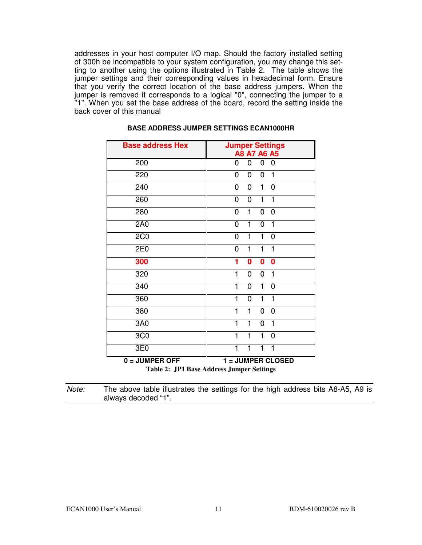addresses in your host computer I/O map. Should the factory installed setting of 300h be incompatible to your system configuration, you may change this setting to another using the options illustrated in Table 2. The table shows the jumper settings and their corresponding values in hexadecimal form. Ensure that you verify the correct location of the base address jumpers. When the jumper is removed it corresponds to a logical "0", connecting the jumper to a "1". When you set the base address of the board, record the setting inside the back cover of this manual

| <b>Base address Hex</b>                                             | <b>Jumper Settings</b><br>A8 A7 A6 A5                               |
|---------------------------------------------------------------------|---------------------------------------------------------------------|
| 200                                                                 | 0<br>0<br>0<br>0                                                    |
| 220                                                                 | 0<br>0<br>0<br>1                                                    |
| 240                                                                 | 0<br>0<br>1<br>0                                                    |
| 260                                                                 | $\overline{0}$<br>$\mathbf{1}$<br>0<br>1                            |
| 280                                                                 | $\mathbf{1}$<br>0<br>0<br>0                                         |
| 2A0                                                                 | $\overline{1}$<br>$\overline{0}$<br>0<br>1                          |
| 2C <sub>0</sub>                                                     | $\mathbf{1}$<br>$\mathbf 0$<br>1<br>0                               |
| 2E0                                                                 | $\mathbf{1}$<br>$\mathbf 0$<br>1<br>1                               |
| 300                                                                 | 1<br>$\bf{0}$<br>$\bf{0}$<br>$\bf{0}$                               |
| 320                                                                 | $\mathbf{1}$<br>0<br>0<br>$\mathbf{1}$                              |
| 340                                                                 | $\mathbf{1}$<br>$\mathbf 0$<br>1<br>0                               |
| 360                                                                 | $\mathbf{1}$<br>$\mathbf{1}$<br>0<br>$\mathbf{1}$                   |
| 380                                                                 | 1<br>1<br>0<br>0                                                    |
| 3A0                                                                 | $\mathbf{1}$<br>$\mathbf{1}$<br>0<br>1                              |
| 3C <sub>0</sub>                                                     | $\mathbf{1}$<br>$\mathbf{1}$<br>$\mathbf{1}$<br>0                   |
| 3E0                                                                 | $\mathbf{1}$<br>1<br>1<br>1                                         |
| $0 = JUMPER OFF$<br><b>TD</b> <sup>1</sup><br><b><del>.</del> .</b> | 1 = JUMPER CLOSED<br>$\mathbf{A}$ and $\mathbf{B}$<br>$\sim$ $\sim$ |

#### **BASE ADDRESS JUMPER SETTINGS ECAN1000HR**

**Table 2: JP1 Base Address Jumper Settings** 

Note: The above table illustrates the settings for the high address bits A8-A5, A9 is always decoded "1".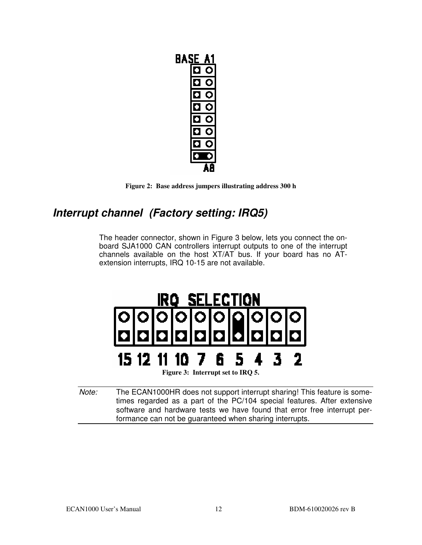| BAS<br>E. |  |
|-----------|--|
|           |  |
|           |  |
|           |  |
|           |  |
|           |  |
|           |  |
|           |  |
|           |  |
|           |  |



## **Interrupt channel (Factory setting: IRQ5)**

The header connector, shown in Figure 3 below, lets you connect the onboard SJA1000 CAN controllers interrupt outputs to one of the interrupt channels available on the host XT/AT bus. If your board has no ATextension interrupts, IRQ 10-15 are not available.



Note: The ECAN1000HR does not support interrupt sharing! This feature is sometimes regarded as a part of the PC/104 special features. After extensive software and hardware tests we have found that error free interrupt performance can not be guaranteed when sharing interrupts.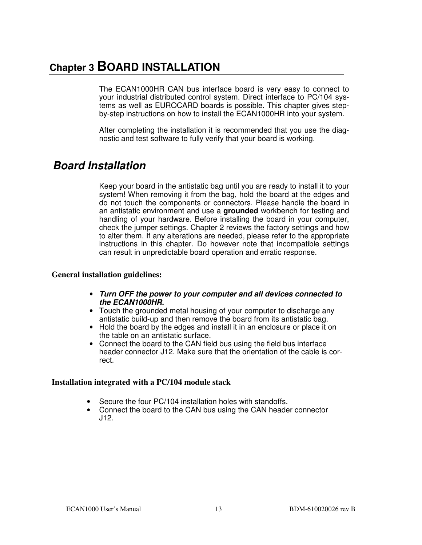## **Chapter 3 BOARD INSTALLATION**

The ECAN1000HR CAN bus interface board is very easy to connect to your industrial distributed control system. Direct interface to PC/104 systems as well as EUROCARD boards is possible. This chapter gives stepby-step instructions on how to install the ECAN1000HR into your system.

After completing the installation it is recommended that you use the diagnostic and test software to fully verify that your board is working.

### **Board Installation**

Keep your board in the antistatic bag until you are ready to install it to your system! When removing it from the bag, hold the board at the edges and do not touch the components or connectors. Please handle the board in an antistatic environment and use a **grounded** workbench for testing and handling of your hardware. Before installing the board in your computer, check the jumper settings. Chapter 2 reviews the factory settings and how to alter them. If any alterations are needed, please refer to the appropriate instructions in this chapter. Do however note that incompatible settings can result in unpredictable board operation and erratic response.

#### **General installation guidelines:**

- **Turn OFF the power to your computer and all devices connected to the ECAN1000HR.**
- Touch the grounded metal housing of your computer to discharge any antistatic build-up and then remove the board from its antistatic bag.
- Hold the board by the edges and install it in an enclosure or place it on the table on an antistatic surface.
- Connect the board to the CAN field bus using the field bus interface header connector J12. Make sure that the orientation of the cable is correct.

#### **Installation integrated with a PC/104 module stack**

- Secure the four PC/104 installation holes with standoffs.
- Connect the board to the CAN bus using the CAN header connector J12.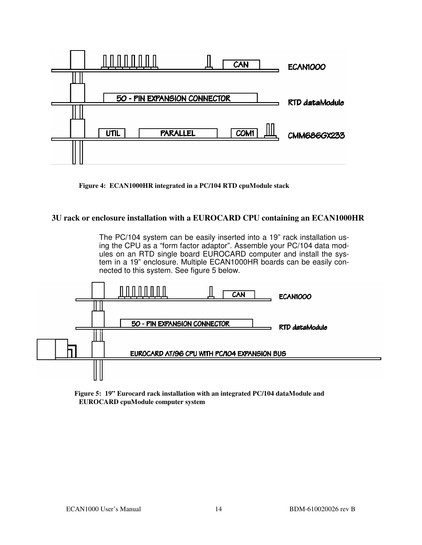

**Figure 4: ECAN1000HR integrated in a PC/104 RTD cpuModule stack** 

#### **3U rack or enclosure installation with a EUROCARD CPU containing an ECAN1000HR**

The PC/104 system can be easily inserted into a 19" rack installation using the CPU as a "form factor adaptor". Assemble your PC/104 data modules on an RTD single board EUROCARD computer and install the system in a 19" enclosure. Multiple ECAN1000HR boards can be easily connected to this system. See figure 5 below.



**Figure 5: 19" Eurocard rack installation with an integrated PC/104 dataModule and EUROCARD cpuModule computer system**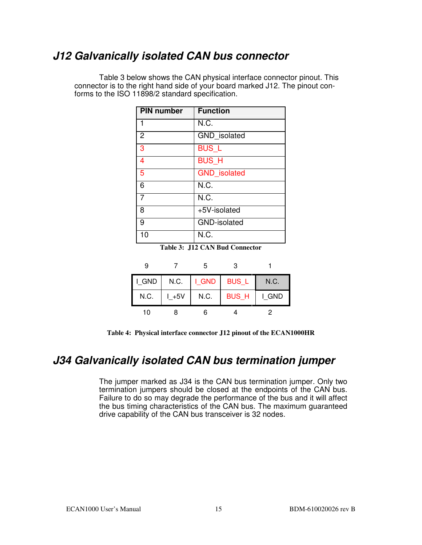## **J12 Galvanically isolated CAN bus connector**

Table 3 below shows the CAN physical interface connector pinout. This connector is to the right hand side of your board marked J12. The pinout conforms to the ISO 11898/2 standard specification.

| <b>PIN number</b> | <b>Function</b>     |
|-------------------|---------------------|
|                   | N.C.                |
| $\overline{2}$    | GND_isolated        |
| 3                 | <b>BUS_L</b>        |
| 4                 | <b>BUS_H</b>        |
| 5                 | <b>GND</b> isolated |
| 6                 | N.C.                |
|                   | N.C.                |
| 8                 | +5V-isolated        |
| 9                 | <b>GND-isolated</b> |
| 10                | N.C.                |

**Table 3: J12 CAN Bud Connector**

|       |          | 5               |              |       |
|-------|----------|-----------------|--------------|-------|
| I GND | N.C.     | $ $ $ $ GND $ $ | <b>BUS_L</b> | N.C.  |
| N.C.  | $L + 5V$ | N.C.            | <b>BUS_H</b> | I GND |
| 10    |          | ิค              |              |       |

**Table 4: Physical interface connector J12 pinout of the ECAN1000HR**

### **J34 Galvanically isolated CAN bus termination jumper**

The jumper marked as J34 is the CAN bus termination jumper. Only two termination jumpers should be closed at the endpoints of the CAN bus. Failure to do so may degrade the performance of the bus and it will affect the bus timing characteristics of the CAN bus. The maximum guaranteed drive capability of the CAN bus transceiver is 32 nodes.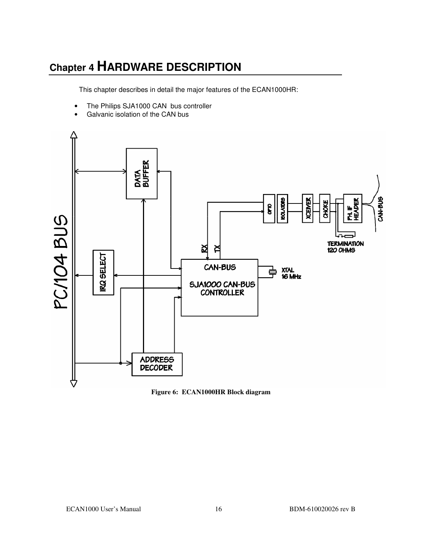## **Chapter 4 HARDWARE DESCRIPTION**

This chapter describes in detail the major features of the ECAN1000HR:

- The Philips SJA1000 CAN bus controller
- Galvanic isolation of the CAN bus



**Figure 6: ECAN1000HR Block diagram**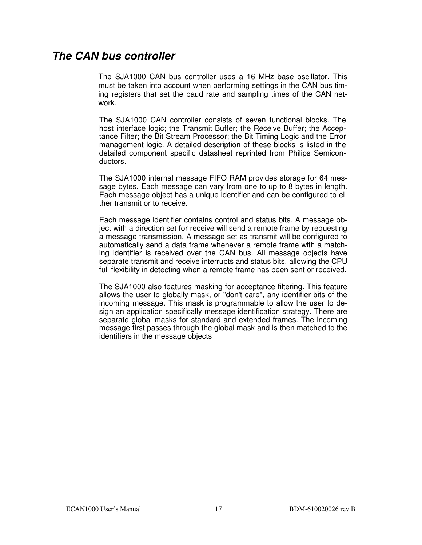#### **The CAN bus controller**

The SJA1000 CAN bus controller uses a 16 MHz base oscillator. This must be taken into account when performing settings in the CAN bus timing registers that set the baud rate and sampling times of the CAN network.

The SJA1000 CAN controller consists of seven functional blocks. The host interface logic; the Transmit Buffer; the Receive Buffer; the Acceptance Filter; the Bit Stream Processor; the Bit Timing Logic and the Error management logic. A detailed description of these blocks is listed in the detailed component specific datasheet reprinted from Philips Semiconductors.

The SJA1000 internal message FIFO RAM provides storage for 64 message bytes. Each message can vary from one to up to 8 bytes in length. Each message object has a unique identifier and can be configured to either transmit or to receive.

Each message identifier contains control and status bits. A message object with a direction set for receive will send a remote frame by requesting a message transmission. A message set as transmit will be configured to automatically send a data frame whenever a remote frame with a matching identifier is received over the CAN bus. All message objects have separate transmit and receive interrupts and status bits, allowing the CPU full flexibility in detecting when a remote frame has been sent or received.

The SJA1000 also features masking for acceptance filtering. This feature allows the user to globally mask, or "don't care", any identifier bits of the incoming message. This mask is programmable to allow the user to design an application specifically message identification strategy. There are separate global masks for standard and extended frames. The incoming message first passes through the global mask and is then matched to the identifiers in the message objects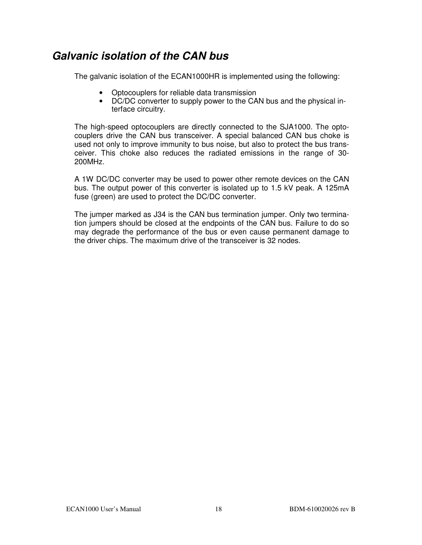## **Galvanic isolation of the CAN bus**

The galvanic isolation of the ECAN1000HR is implemented using the following:

- Optocouplers for reliable data transmission
- DC/DC converter to supply power to the CAN bus and the physical interface circuitry.

The high-speed optocouplers are directly connected to the SJA1000. The optocouplers drive the CAN bus transceiver. A special balanced CAN bus choke is used not only to improve immunity to bus noise, but also to protect the bus transceiver. This choke also reduces the radiated emissions in the range of 30- 200MHz.

A 1W DC/DC converter may be used to power other remote devices on the CAN bus. The output power of this converter is isolated up to 1.5 kV peak. A 125mA fuse (green) are used to protect the DC/DC converter.

The jumper marked as J34 is the CAN bus termination jumper. Only two termination jumpers should be closed at the endpoints of the CAN bus. Failure to do so may degrade the performance of the bus or even cause permanent damage to the driver chips. The maximum drive of the transceiver is 32 nodes.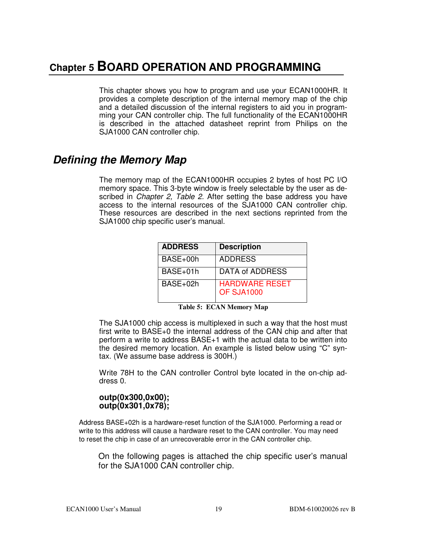## **Chapter 5 BOARD OPERATION AND PROGRAMMING**

This chapter shows you how to program and use your ECAN1000HR. It provides a complete description of the internal memory map of the chip and a detailed discussion of the internal registers to aid you in programming your CAN controller chip. The full functionality of the ECAN1000HR is described in the attached datasheet reprint from Philips on the SJA1000 CAN controller chip.

## **Defining the Memory Map**

The memory map of the ECAN1000HR occupies 2 bytes of host PC I/O memory space. This 3-byte window is freely selectable by the user as described in *Chapter 2, Table 2.* After setting the base address you have access to the internal resources of the SJA1000 CAN controller chip. These resources are described in the next sections reprinted from the SJA1000 chip specific user's manual.

| <b>ADDRESS</b> | <b>Description</b>                  |
|----------------|-------------------------------------|
| BASE+00h       | <b>ADDRESS</b>                      |
| BASE+01h       | <b>DATA of ADDRESS</b>              |
| $BASE+02h$     | <b>HARDWARE RESET</b><br>OF SJA1000 |

|  |  | <b>Table 5: ECAN Memory Map</b> |  |
|--|--|---------------------------------|--|
|--|--|---------------------------------|--|

The SJA1000 chip access is multiplexed in such a way that the host must first write to BASE+0 the internal address of the CAN chip and after that perform a write to address BASE+1 with the actual data to be written into the desired memory location. An example is listed below using "C" syntax. (We assume base address is 300H.)

Write 78H to the CAN controller Control byte located in the on-chip address 0.

#### **outp(0x300,0x00); outp(0x301,0x78);**

Address BASE+02h is a hardware-reset function of the SJA1000. Performing a read or write to this address will cause a hardware reset to the CAN controller. You may need to reset the chip in case of an unrecoverable error in the CAN controller chip.

On the following pages is attached the chip specific user's manual for the SJA1000 CAN controller chip.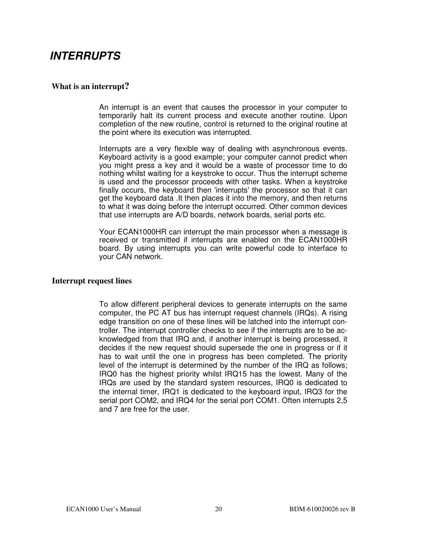### **INTERRUPTS**

#### **What is an interrupt?**

An interrupt is an event that causes the processor in your computer to temporarily halt its current process and execute another routine. Upon completion of the new routine, control is returned to the original routine at the point where its execution was interrupted.

Interrupts are a very flexible way of dealing with asynchronous events. Keyboard activity is a good example; your computer cannot predict when you might press a key and it would be a waste of processor time to do nothing whilst waiting for a keystroke to occur. Thus the interrupt scheme is used and the processor proceeds with other tasks. When a keystroke finally occurs, the keyboard then 'interrupts' the processor so that it can get the keyboard data .It then places it into the memory, and then returns to what it was doing before the interrupt occurred. Other common devices that use interrupts are A/D boards, network boards, serial ports etc.

Your ECAN1000HR can interrupt the main processor when a message is received or transmitted if interrupts are enabled on the ECAN1000HR board. By using interrupts you can write powerful code to interface to your CAN network.

#### **Interrupt request lines**

To allow different peripheral devices to generate interrupts on the same computer, the PC AT bus has interrupt request channels (IRQs). A rising edge transition on one of these lines will be latched into the interrupt controller. The interrupt controller checks to see if the interrupts are to be acknowledged from that IRQ and, if another interrupt is being processed, it decides if the new request should supersede the one in progress or if it has to wait until the one in progress has been completed. The priority level of the interrupt is determined by the number of the IRQ as follows; IRQ0 has the highest priority whilst IRQ15 has the lowest. Many of the IRQs are used by the standard system resources, IRQ0 is dedicated to the internal timer, IRQ1 is dedicated to the keyboard input, IRQ3 for the serial port COM2, and IRQ4 for the serial port COM1. Often interrupts 2,5 and 7 are free for the user.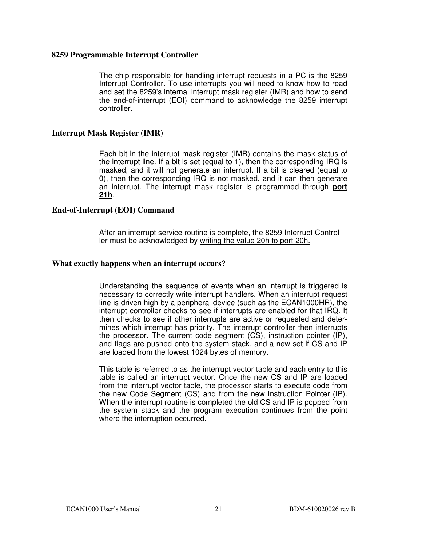#### **8259 Programmable Interrupt Controller**

The chip responsible for handling interrupt requests in a PC is the 8259 Interrupt Controller. To use interrupts you will need to know how to read and set the 8259's internal interrupt mask register (IMR) and how to send the end-of-interrupt (EOI) command to acknowledge the 8259 interrupt controller.

#### **Interrupt Mask Register (IMR)**

Each bit in the interrupt mask register (IMR) contains the mask status of the interrupt line. If a bit is set (equal to 1), then the corresponding IRQ is masked, and it will not generate an interrupt. If a bit is cleared (equal to 0), then the corresponding IRQ is not masked, and it can then generate an interrupt. The interrupt mask register is programmed through **port 21h**.

#### **End-of-Interrupt (EOI) Command**

After an interrupt service routine is complete, the 8259 Interrupt Controller must be acknowledged by writing the value 20h to port 20h.

#### **What exactly happens when an interrupt occurs?**

Understanding the sequence of events when an interrupt is triggered is necessary to correctly write interrupt handlers. When an interrupt request line is driven high by a peripheral device (such as the ECAN1000HR), the interrupt controller checks to see if interrupts are enabled for that IRQ. It then checks to see if other interrupts are active or requested and determines which interrupt has priority. The interrupt controller then interrupts the processor. The current code segment (CS), instruction pointer (IP), and flags are pushed onto the system stack, and a new set if CS and IP are loaded from the lowest 1024 bytes of memory.

This table is referred to as the interrupt vector table and each entry to this table is called an interrupt vector. Once the new CS and IP are loaded from the interrupt vector table, the processor starts to execute code from the new Code Segment (CS) and from the new Instruction Pointer (IP). When the interrupt routine is completed the old CS and IP is popped from the system stack and the program execution continues from the point where the interruption occurred.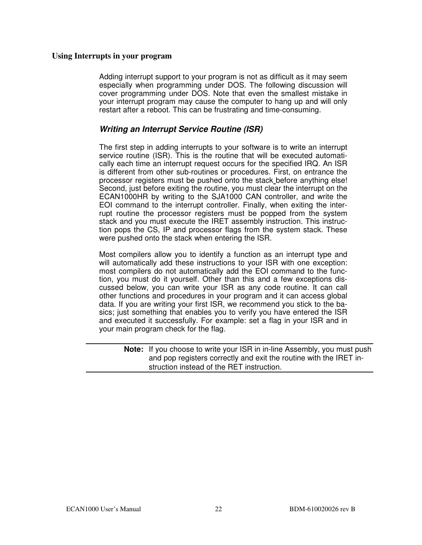#### **Using Interrupts in your program**

Adding interrupt support to your program is not as difficult as it may seem especially when programming under DOS. The following discussion will cover programming under DOS. Note that even the smallest mistake in your interrupt program may cause the computer to hang up and will only restart after a reboot. This can be frustrating and time-consuming.

#### **Writing an Interrupt Service Routine (ISR)**

The first step in adding interrupts to your software is to write an interrupt service routine (ISR). This is the routine that will be executed automatically each time an interrupt request occurs for the specified IRQ. An ISR is different from other sub-routines or procedures. First, on entrance the processor registers must be pushed onto the stack before anything else! Second, just before exiting the routine, you must clear the interrupt on the ECAN1000HR by writing to the SJA1000 CAN controller, and write the EOI command to the interrupt controller. Finally, when exiting the interrupt routine the processor registers must be popped from the system stack and you must execute the IRET assembly instruction. This instruction pops the CS, IP and processor flags from the system stack. These were pushed onto the stack when entering the ISR.

Most compilers allow you to identify a function as an interrupt type and will automatically add these instructions to your ISR with one exception: most compilers do not automatically add the EOI command to the function, you must do it yourself. Other than this and a few exceptions discussed below, you can write your ISR as any code routine. It can call other functions and procedures in your program and it can access global data. If you are writing your first ISR, we recommend you stick to the basics; just something that enables you to verify you have entered the ISR and executed it successfully. For example: set a flag in your ISR and in your main program check for the flag.

**Note:** If you choose to write your ISR in in-line Assembly, you must push and pop registers correctly and exit the routine with the IRET instruction instead of the RET instruction.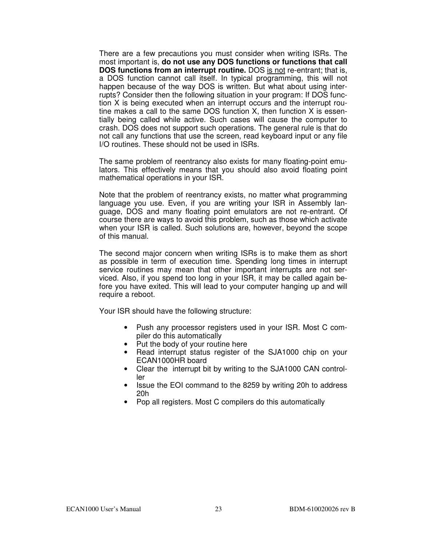There are a few precautions you must consider when writing ISRs. The most important is, **do not use any DOS functions or functions that call DOS functions from an interrupt routine.** DOS is not re-entrant; that is, a DOS function cannot call itself. In typical programming, this will not happen because of the way DOS is written. But what about using interrupts? Consider then the following situation in your program: If DOS function X is being executed when an interrupt occurs and the interrupt routine makes a call to the same DOS function X, then function X is essentially being called while active. Such cases will cause the computer to crash. DOS does not support such operations. The general rule is that do not call any functions that use the screen, read keyboard input or any file I/O routines. These should not be used in ISRs.

The same problem of reentrancy also exists for many floating-point emulators. This effectively means that you should also avoid floating point mathematical operations in your ISR.

Note that the problem of reentrancy exists, no matter what programming language you use. Even, if you are writing your ISR in Assembly language, DOS and many floating point emulators are not re-entrant. Of course there are ways to avoid this problem, such as those which activate when your ISR is called. Such solutions are, however, beyond the scope of this manual.

The second major concern when writing ISRs is to make them as short as possible in term of execution time. Spending long times in interrupt service routines may mean that other important interrupts are not serviced. Also, if you spend too long in your ISR, it may be called again before you have exited. This will lead to your computer hanging up and will require a reboot.

Your ISR should have the following structure:

- Push any processor registers used in your ISR. Most C compiler do this automatically
- Put the body of your routine here
- Read interrupt status register of the SJA1000 chip on your ECAN1000HR board
- Clear the interrupt bit by writing to the SJA1000 CAN controller
- Issue the EOI command to the 8259 by writing 20h to address 20h
- Pop all registers. Most C compilers do this automatically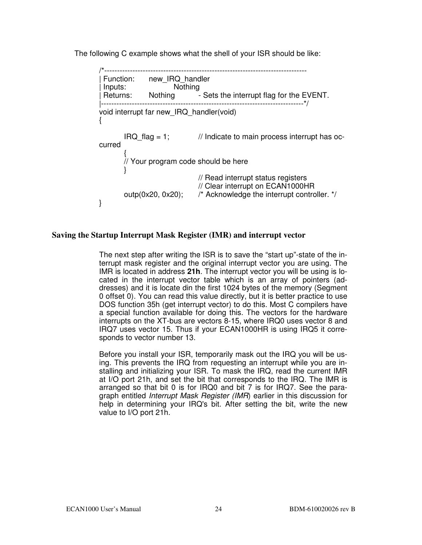The following C example shows what the shell of your ISR should be like:

/\*------------------------------------------------------------------------------- Function: new\_IRQ\_handler<br>lnputs: Nothing Inputs:<br>Returns: | Returns: Nothing - Sets the interrupt flag for the EVENT. |-------------------------------------------------------------------------------\*/ void interrupt far new\_IRQ\_handler(void) {  $IRQ$  flag = 1;  $\frac{1}{10}$  Indicate to main process interrupt has occurred  $\{$  // Your program code should be here } // Read interrupt status registers // Clear interrupt on ECAN1000HR outp(0x20, 0x20); /\* Acknowledge the interrupt controller. \*/ }

#### **Saving the Startup Interrupt Mask Register (IMR) and interrupt vector**

The next step after writing the ISR is to save the "start up"-state of the interrupt mask register and the original interrupt vector you are using. The IMR is located in address **21h**. The interrupt vector you will be using is located in the interrupt vector table which is an array of pointers (addresses) and it is locate din the first 1024 bytes of the memory (Segment 0 offset 0). You can read this value directly, but it is better practice to use DOS function 35h (get interrupt vector) to do this. Most C compilers have a special function available for doing this. The vectors for the hardware interrupts on the XT-bus are vectors 8-15, where IRQ0 uses vector 8 and IRQ7 uses vector 15. Thus if your ECAN1000HR is using IRQ5 it corresponds to vector number 13.

Before you install your ISR, temporarily mask out the IRQ you will be using. This prevents the IRQ from requesting an interrupt while you are installing and initializing your ISR. To mask the IRQ, read the current IMR at I/O port 21h, and set the bit that corresponds to the IRQ. The IMR is arranged so that bit 0 is for IRQ0 and bit 7 is for IRQ7. See the paragraph entitled Interrupt Mask Register (IMR) earlier in this discussion for help in determining your IRQ's bit. After setting the bit, write the new value to I/O port 21h.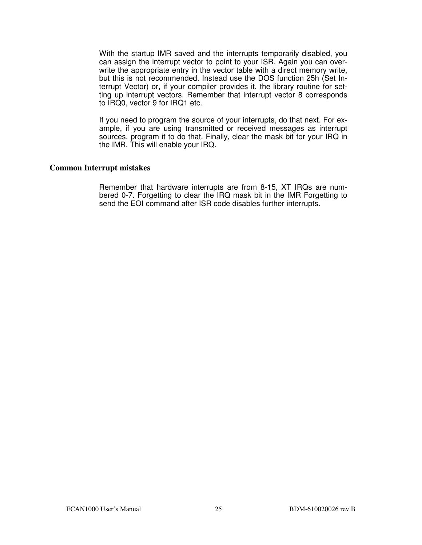With the startup IMR saved and the interrupts temporarily disabled, you can assign the interrupt vector to point to your ISR. Again you can overwrite the appropriate entry in the vector table with a direct memory write, but this is not recommended. Instead use the DOS function 25h (Set Interrupt Vector) or, if your compiler provides it, the library routine for setting up interrupt vectors. Remember that interrupt vector 8 corresponds to IRQ0, vector 9 for IRQ1 etc.

If you need to program the source of your interrupts, do that next. For example, if you are using transmitted or received messages as interrupt sources, program it to do that. Finally, clear the mask bit for your IRQ in the IMR. This will enable your IRQ.

#### **Common Interrupt mistakes**

Remember that hardware interrupts are from 8-15, XT IRQs are numbered 0-7. Forgetting to clear the IRQ mask bit in the IMR Forgetting to send the EOI command after ISR code disables further interrupts.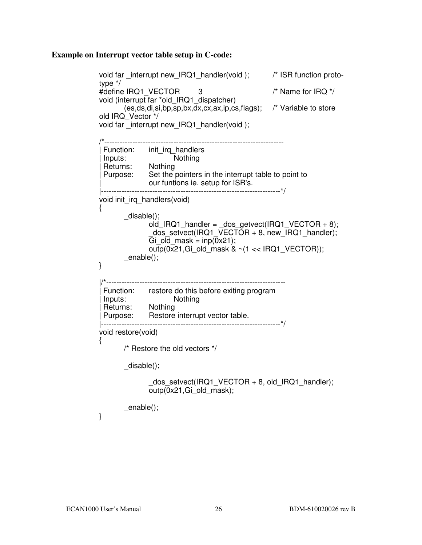#### **Example on Interrupt vector table setup in C-code:**

```
void far _interrupt new_IRQ1_handler(void); /* ISR function proto-
type */ 
#define IRQ1_VECTOR 3 /* Name for IRQ */
void (interrupt far *old_IRQ1_dispatcher) 
        (es,ds,di,si,bp,sp,bx,dx,cx,ax,ip,cs,flags); /* Variable to store 
old IRQ_Vector */ 
void far _interrupt new_IRQ1_handler(void ); 
/*---------------------------------------------------------------------- 
| Function: init_irq_handlers 
| Inputs: Nothing
| Returns: Nothing 
| Purpose: Set the pointers in the interrupt table to point to 
| our funtions ie. setup for ISR's. 
|----------------------------------------------------------------------*/ 
void init_irq_handlers(void) 
\{ _disable(); 
              o\ddot{\theta} IRQ1_handler = _dos_getvect(IRQ1_VECTOR + 8);
                _dos_setvect(IRQ1_VECTOR + 8, new_IRQ1_handler); 
              Gi old mask = inp(0x21); outp(0x21,Gi_old_mask & ~(1 << IRQ1_VECTOR)); 
        _enable(); 
} 
|/*---------------------------------------------------------------------- 
| Function: restore do this before exiting program 
| Inputs: Nothing
| Returns: Nothing 
| Purpose: Restore interrupt vector table. 
|----------------------------------------------------------------------*/ 
void restore(void) 
{ 
        /* Restore the old vectors */ 
        _disable(); 
               dos setvect(IRQ1 VECTOR + 8, old IRQ1 handler);
              outp(0x21,Gi_old_mask);
        _enable();
```
}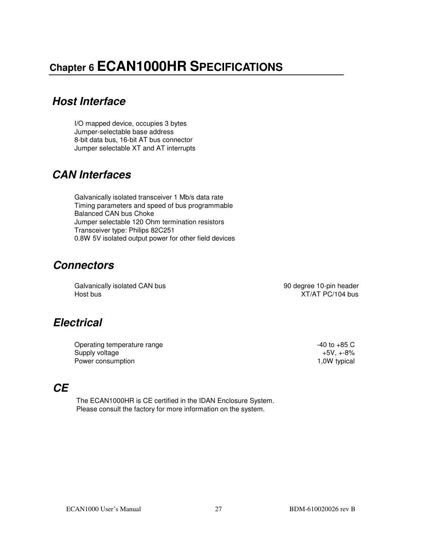## **Chapter 6 ECAN1000HR SPECIFICATIONS**

## **Host Interface**

I/O mapped device, occupies 3 bytes Jumper-selectable base address 8-bit data bus, 16-bit AT bus connector Jumper selectable XT and AT interrupts

## **CAN Interfaces**

Galvanically isolated transceiver 1 Mb/s data rate Timing parameters and speed of bus programmable Balanced CAN bus Choke Jumper selectable 120 Ohm termination resistors Transceiver type: Philips 82C251 0.8W 5V isolated output power for other field devices

## **Connectors**

Galvanically isolated CAN bus **90 degree 10-pin header** 90 degree 10-pin header Host bus XT/AT PC/104 bus

## **Electrical**

Operating temperature range  $-40$  to  $+85$  C Supply voltage +5V, +-8% Power consumption

#### **CE**

 The ECAN1000HR is CE certified in the IDAN Enclosure System. Please consult the factory for more information on the system.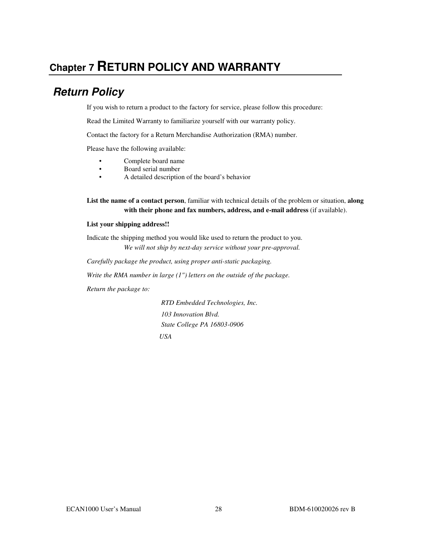## **Chapter 7 RETURN POLICY AND WARRANTY**

## **Return Policy**

If you wish to return a product to the factory for service, please follow this procedure:

Read the Limited Warranty to familiarize yourself with our warranty policy.

Contact the factory for a Return Merchandise Authorization (RMA) number.

Please have the following available:

- Complete board name
- Board serial number
- A detailed description of the board's behavior

**List the name of a contact person**, familiar with technical details of the problem or situation, **along with their phone and fax numbers, address, and e-mail address** (if available).

#### **List your shipping address!!**

Indicate the shipping method you would like used to return the product to you. *We will not ship by next-day service without your pre-approval.*

*Carefully package the product, using proper anti-static packaging.*

*Write the RMA number in large (1") letters on the outside of the package.*

*Return the package to:* 

 *RTD Embedded Technologies, Inc. 103 Innovation Blvd. State College PA 16803-0906 USA*